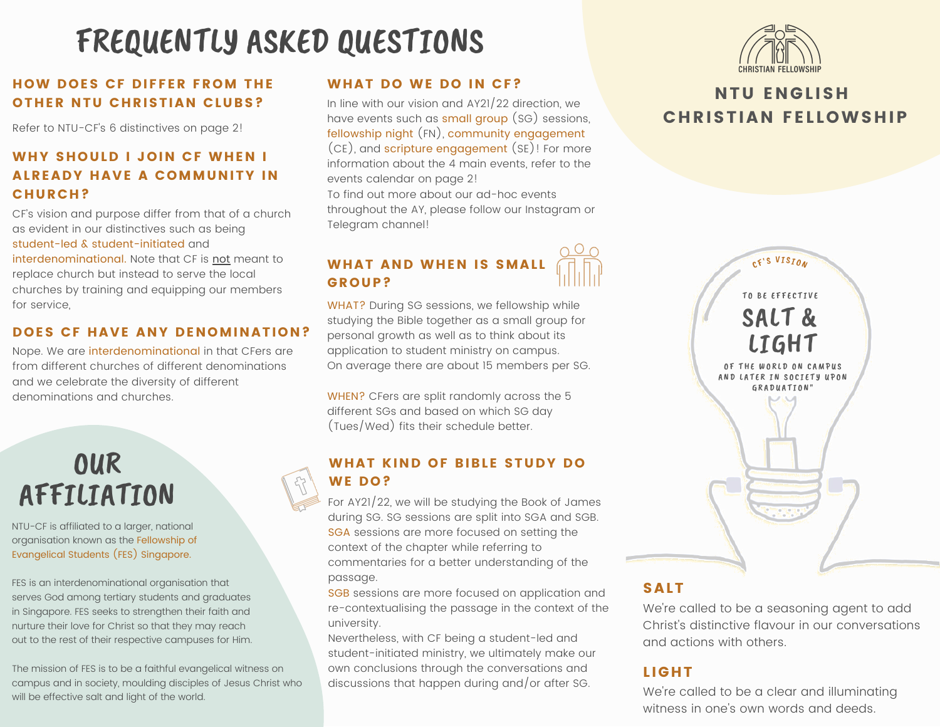## FREQUENTLY ASKED QUESTIONS

#### HOW DOES CF DIFFER FROM THE OTHER NTU CHRISTIAN CLUBS?

Refer to NTU-CF's 6 distinctives on page 2!

### WHY SHOULD I JOIN CF WHEN I ALREADY HAVE A COMMUNITY IN CHURCH?

CF's vision and purpose differ from that of a church as evident in our distinctives such as being student-led & student-initiated and interdenominational. Note that CF is not meant to replace church but instead to serve the local churches by training and equipping our members for service,

#### DOES CF HAVE ANY DENOMINATION?

Nope. We are interdenominational in that CFers are from different churches of different denominations and we celebrate the diversity of different denominations and churches.

## **OUR** AFFILIATION

NTU-CF is affiliated to a larger, national organisation known as the Fellowship of Evangelical Students (FES) Singapore.

FES is an interdenominational organisation that serves God among tertiary students and graduates in Singapore. FES seeks to strengthen their faith and nurture their love for Christ so that they may reach out to the rest of their respective campuses for Him.

The mission of FES is to be a faithful evangelical witness on campus and in society, moulding disciples of Jesus Christ who will be effective salt and light of the world.

#### WHAT DO WE DO IN CF?

In line with our vision and AY21/22 direction, we have events such as small group (SG) sessions, fellowship night (FN), community engagement (CE), and scripture engagement (SE)! For more information about the 4 main events, refer to the events calendar on page 2!

To find out more about our ad-hoc events throughout the AY, please follow our Instagram or Telegram channel!

## WHAT AND WHEN IS SMALL GROUP?

WHAT? During SG sessions, we fellowship while studying the Bible together as a small group for personal growth as well as to think about its application to student ministry on campus. On average there are about 15 members per SG.

WHEN? CFers are split randomly across the 5 different SGs and based on which SG day (Tues/Wed) fits their schedule better.

#### WHAT KIND OF BIBLE STUDY DO WE DO?

For AY21/22, we will be studying the Book of James during SG. SG sessions are split into SGA and SGB. SGA sessions are more focused on setting the context of the chapter while referring to commentaries for a better understanding of the passage.

SGB sessions are more focused on application and re-contextualising the passage in the context of the university.

Nevertheless, with CF being a student-led and student-initiated ministry, we ultimately make our own conclusions through the conversations and discussions that happen during and/or after SG.



## **NTU ENGLISH CHRISTIAN FELLOWSHIP**



### SALT

We're called to be a seasoning agent to add Christ's distinctive flavour in our conversations and actions with others.

### **LIGHT**

We're called to be a clear and illuminating witness in one's own words and deeds.